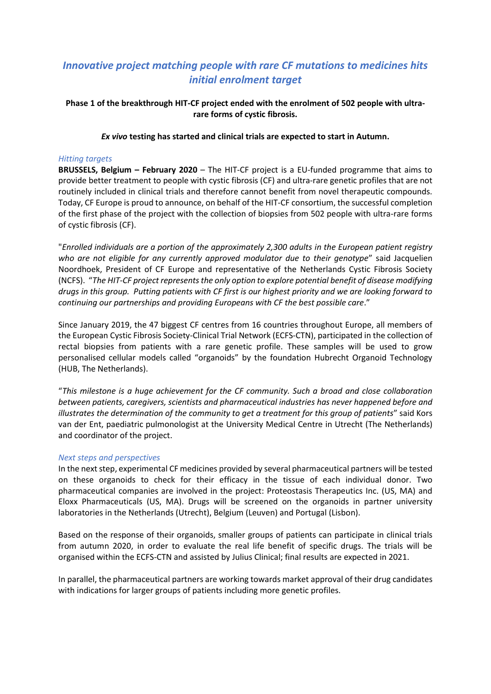# *Innovative project matching people with rare CF mutations to medicines hits initial enrolment target*

# **Phase 1 of the breakthrough HIT-CF project ended with the enrolment of 502 people with ultrarare forms of cystic fibrosis.**

## *Ex vivo* **testing has started and clinical trials are expected to start in Autumn.**

#### *Hitting targets*

**BRUSSELS, Belgium – February 2020** – The HIT-CF project is a EU-funded programme that aims to provide better treatment to people with cystic fibrosis (CF) and ultra-rare genetic profiles that are not routinely included in clinical trials and therefore cannot benefit from novel therapeutic compounds. Today, CF Europe is proud to announce, on behalf of the HIT-CF consortium, the successful completion of the first phase of the project with the collection of biopsies from 502 people with ultra-rare forms of cystic fibrosis (CF).

"*Enrolled individuals are a portion of the approximately 2,300 adults in the European patient registry who are not eligible for any currently approved modulator due to their genotype*" said Jacquelien Noordhoek, President of CF Europe and representative of the Netherlands Cystic Fibrosis Society (NCFS). "*The HIT-CF project represents the only option to explore potential benefit of disease modifying drugs in this group. Putting patients with CF first is our highest priority and we are looking forward to continuing our partnerships and providing Europeans with CF the best possible care*."

Since January 2019, the 47 biggest CF centres from 16 countries throughout Europe, all members of the European Cystic Fibrosis Society-Clinical Trial Network (ECFS-CTN), participated in the collection of rectal biopsies from patients with a rare genetic profile. These samples will be used to grow personalised cellular models called "organoids" by the foundation Hubrecht Organoid Technology (HUB, The Netherlands).

"*This milestone is a huge achievement for the CF community. Such a broad and close collaboration between patients, caregivers, scientists and pharmaceutical industries has never happened before and illustrates the determination of the community to get a treatment for this group of patients*" said Kors van der Ent, paediatric pulmonologist at the University Medical Centre in Utrecht (The Netherlands) and coordinator of the project.

#### *Next steps and perspectives*

In the next step, experimental CF medicines provided by several pharmaceutical partners will be tested on these organoids to check for their efficacy in the tissue of each individual donor. Two pharmaceutical companies are involved in the project: Proteostasis Therapeutics Inc. (US, MA) and Eloxx Pharmaceuticals (US, MA). Drugs will be screened on the organoids in partner university laboratories in the Netherlands (Utrecht), Belgium (Leuven) and Portugal (Lisbon).

Based on the response of their organoids, smaller groups of patients can participate in clinical trials from autumn 2020, in order to evaluate the real life benefit of specific drugs. The trials will be organised within the ECFS-CTN and assisted by Julius Clinical; final results are expected in 2021.

In parallel, the pharmaceutical partners are working towards market approval of their drug candidates with indications for larger groups of patients including more genetic profiles.